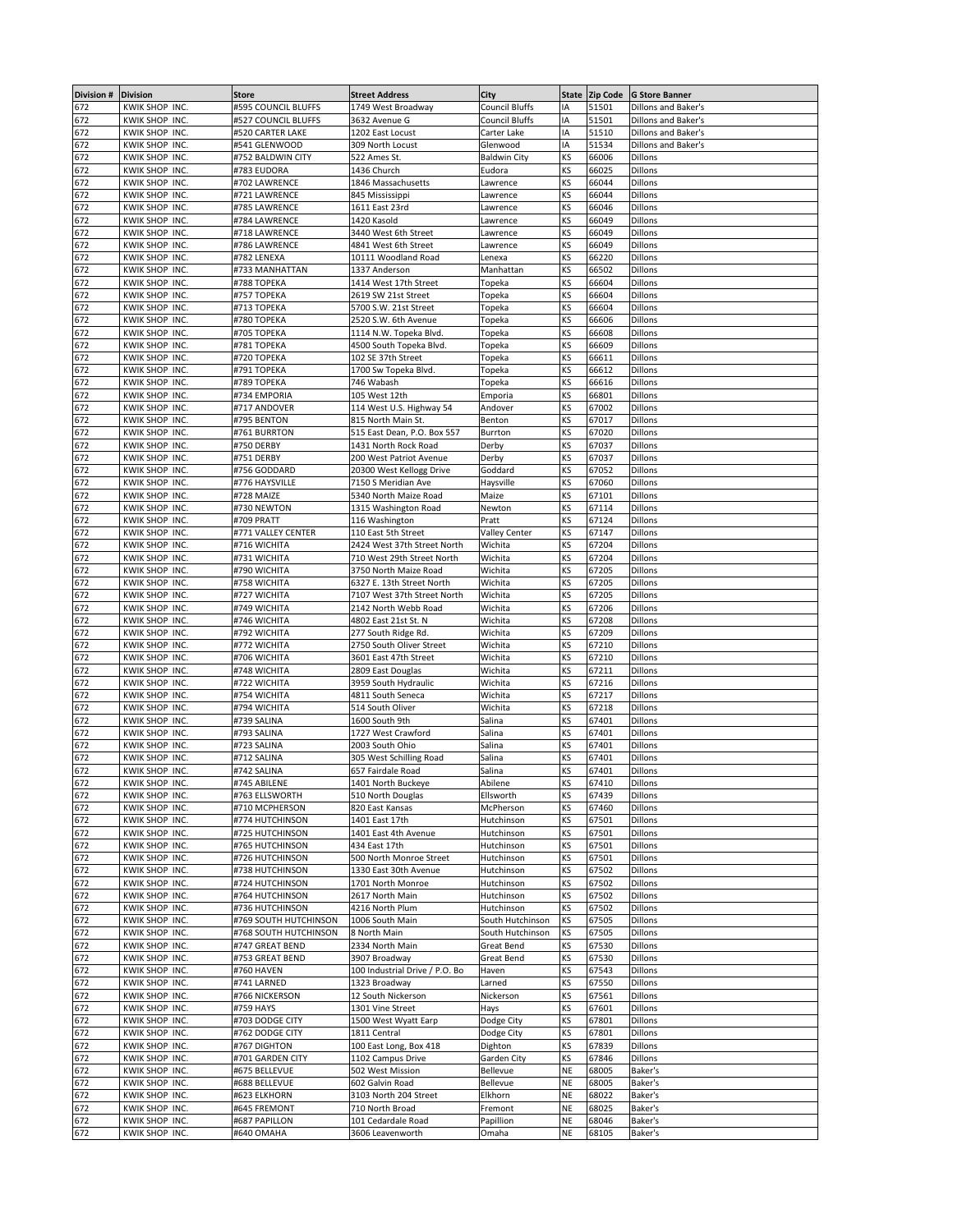| Division # | <b>Division</b> | Store                 | <b>Street Address</b>          | City                 |           | State Zip Code | <b>G Store Banner</b> |
|------------|-----------------|-----------------------|--------------------------------|----------------------|-----------|----------------|-----------------------|
| 672        | KWIK SHOP INC.  | #595 COUNCIL BLUFFS   | 1749 West Broadway             | Council Bluffs       | IA        | 51501          | Dillons and Baker's   |
| 672        | KWIK SHOP INC.  | #527 COUNCIL BLUFFS   | 3632 Avenue G                  | Council Bluffs       | IA        | 51501          | Dillons and Baker's   |
| 672        | KWIK SHOP INC.  | #520 CARTER LAKE      | 1202 East Locust               | Carter Lake          | IA        | 51510          | Dillons and Baker's   |
| 672        | KWIK SHOP INC.  | #541 GLENWOOD         | 309 North Locust               | Glenwood             | IA        | 51534          | Dillons and Baker's   |
|            |                 |                       |                                |                      |           |                |                       |
| 672        | KWIK SHOP INC.  | #752 BALDWIN CITY     | 522 Ames St.                   | Baldwin City         | KS        | 66006          | Dillons               |
| 672        | KWIK SHOP INC.  | #783 EUDORA           | 1436 Church                    | Eudora               | KS        | 66025          | Dillons               |
| 672        | KWIK SHOP INC.  | #702 LAWRENCE         | 1846 Massachusetts             | Lawrence             | KS        | 66044          | Dillons               |
| 672        | KWIK SHOP INC.  | #721 LAWRENCE         | 845 Mississippi                | awrence.             | ΚS        | 66044          | Dillons               |
| 672        | KWIK SHOP INC.  | #785 LAWRENCE         | 1611 East 23rd                 | Lawrence             | ΚS        | 66046          | Dillons               |
|            | KWIK SHOP INC.  | #784 LAWRENCE         | 1420 Kasold                    |                      | KS        | 66049          | Dillons               |
| 672        |                 |                       |                                | Lawrence             |           |                |                       |
| 672        | KWIK SHOP INC.  | #718 LAWRENCE         | 3440 West 6th Street           | Lawrence             | KS        | 66049          | Dillons               |
| 672        | KWIK SHOP INC.  | #786 LAWRENCE         | 4841 West 6th Street           | Lawrence             | KS        | 66049          | Dillons               |
| 672        | KWIK SHOP INC.  | #782 LENEXA           | 10111 Woodland Road            | Lenexa               | KS        | 66220          | Dillons               |
| 672        | KWIK SHOP INC.  | #733 MANHATTAN        | 1337 Anderson                  | Manhattan            | ΚS        | 66502          | Dillons               |
| 672        | KWIK SHOP INC.  | #788 TOPEKA           | 1414 West 17th Street          | Topeka               | ΚS        | 66604          | Dillons               |
| 672        |                 | #757 TOPEKA           |                                |                      | KS        | 66604          | Dillons               |
|            | KWIK SHOP INC.  |                       | 2619 SW 21st Street            | Topeka               |           |                |                       |
| 672        | KWIK SHOP INC.  | #713 TOPEKA           | 5700 S.W. 21st Street          | Topeka               | KS        | 66604          | Dillons               |
| 672        | KWIK SHOP INC.  | #780 TOPEKA           | 2520 S.W. 6th Avenue           | Topeka               | KS        | 66606          | Dillons               |
| 672        | KWIK SHOP INC.  | #705 TOPEKA           | 1114 N.W. Topeka Blvd.         | Topeka               | KS        | 66608          | Dillons               |
| 672        | KWIK SHOP INC.  | #781 TOPEKA           | 4500 South Topeka Blvd.        | Topeka               | ΚS        | 66609          | Dillons               |
| 672        | KWIK SHOP INC.  | #720 TOPEKA           | 102 SE 37th Street             | Topeka               | ΚS        | 66611          | Dillons               |
| 672        | KWIK SHOP INC.  | #791 TOPEKA           | 1700 Sw Topeka Blvd.           | Topeka               | KS        | 66612          | Dillons               |
| 672        | KWIK SHOP INC.  | #789 TOPEKA           | 746 Wabash                     | Topeka               | KS        | 66616          | Dillons               |
|            |                 |                       |                                |                      |           |                |                       |
| 672        | KWIK SHOP INC.  | #734 EMPORIA          | 105 West 12th                  | Emporia              | KS        | 66801          | Dillons               |
| 672        | KWIK SHOP INC.  | #717 ANDOVER          | 114 West U.S. Highway 54       | Andover              | ΚS        | 67002          | Dillons               |
| 672        | KWIK SHOP INC.  | #795 BENTON           | 815 North Main St.             | Benton               | KS        | 67017          | Dillons               |
| 672        | KWIK SHOP INC.  | #761 BURRTON          | 515 East Dean, P.O. Box 557    | Burrton              | ΚS        | 67020          | Dillons               |
| 672        | KWIK SHOP INC.  | #750 DERBY            | 1431 North Rock Road           | Derby                | KS        | 67037          | Dillons               |
| 672        | KWIK SHOP INC.  | #751 DERBY            | 200 West Patriot Avenue        | Derby                | KS        | 67037          | Dillons               |
|            |                 |                       |                                |                      |           |                |                       |
| 672        | KWIK SHOP INC.  | #756 GODDARD          | 20300 West Kellogg Drive       | Goddard              | ΚS        | 67052          | Dillons               |
| 672        | KWIK SHOP INC.  | #776 HAYSVILLE        | 7150 S Meridian Ave            | Haysville            | KS        | 67060          | Dillons               |
| 672        | KWIK SHOP INC.  | #728 MAIZE            | 5340 North Maize Road          | Maize                | KS        | 67101          | Dillons               |
| 672        | KWIK SHOP INC.  | #730 NEWTON           | 1315 Washington Road           | Newton               | ΚS        | 67114          | Dillons               |
| 672        | KWIK SHOP INC.  | #709 PRATT            | 116 Washington                 | Pratt                | ΚS        | 67124          | Dillons               |
| 672        | KWIK SHOP INC.  | #771 VALLEY CENTER    | 110 East 5th Street            |                      | KS        | 67147          | Dillons               |
|            |                 |                       |                                | <b>Valley Center</b> |           |                |                       |
| 672        | KWIK SHOP INC.  | #716 WICHITA          | 2424 West 37th Street North    | Wichita              | KS        | 67204          | Dillons               |
| 672        | KWIK SHOP INC.  | #731 WICHITA          | 710 West 29th Street North     | Wichita              | ΚS        | 67204          | Dillons               |
| 672        | KWIK SHOP INC.  | #790 WICHITA          | 3750 North Maize Road          | Wichita              | KS        | 67205          | Dillons               |
| 672        | KWIK SHOP INC.  | #758 WICHITA          | 6327 E. 13th Street North      | Wichita              | KS        | 67205          | Dillons               |
| 672        | KWIK SHOP INC.  | #727 WICHITA          | 7107 West 37th Street North    | Wichita              | KS        | 67205          | Dillons               |
|            |                 |                       |                                |                      |           |                |                       |
| 672        | KWIK SHOP INC.  | #749 WICHITA          | 2142 North Webb Road           | Wichita              | KS        | 67206          | Dillons               |
| 672        | KWIK SHOP INC.  | #746 WICHITA          | 4802 East 21st St. N           | Wichita              | KS        | 67208          | Dillons               |
| 672        | KWIK SHOP INC.  | #792 WICHITA          | 277 South Ridge Rd.            | Wichita              | KS        | 67209          | Dillons               |
| 672        | KWIK SHOP INC.  | #772 WICHITA          | 2750 South Oliver Street       | Wichita              | KS        | 67210          | Dillons               |
| 672        | KWIK SHOP INC.  | #706 WICHITA          | 3601 East 47th Street          | Wichita              | KS        | 67210          | Dillons               |
| 672        | KWIK SHOP INC.  | #748 WICHITA          | 2809 East Douglas              | Wichita              | KS        | 67211          | Dillons               |
| 672        |                 |                       |                                |                      |           |                |                       |
|            | KWIK SHOP INC.  | #722 WICHITA          | 3959 South Hydraulic           | Wichita              | KS        | 67216          | Dillons               |
| 672        | KWIK SHOP INC.  | #754 WICHITA          | 4811 South Seneca              | Wichita              | ΚS        | 67217          | Dillons               |
| 672        | KWIK SHOP INC.  | #794 WICHITA          | 514 South Oliver               | Wichita              | KS        | 67218          | Dillons               |
| 672        | KWIK SHOP INC.  | #739 SALINA           | 1600 South 9th                 | Salina               | KS        | 67401          | Dillons               |
| 672        | KWIK SHOP INC.  | #793 SALINA           | 1727 West Crawford             | Salina               | KS        | 67401          | Dillons               |
| 672        | KWIK SHOP INC.  | #723 SALINA           | 2003 South Ohio                | Salina               | ΚS        | 67401          | Dillons               |
| 672        |                 |                       |                                | Salina               | KS        | 67401          | Dillons               |
|            | KWIK SHOP INC.  | #712 SALINA           | 305 West Schilling Road        |                      |           |                |                       |
| 672        | KWIK SHOP INC.  | #742 SALINA           | 657 Fairdale Road              | Salina               | KS        | 67401          | Dillons               |
| 672<br>672 | KWIK SHOP INC.  | #745 ABILENE          | 1401 North Buckeye             | Abilene              | ΚS        | 67410          | Dillons               |
|            | KWIK SHOP INC.  | #763 ELLSWORTH        | 510 North Douglas              | Ellsworth            | KS        | 67439          | Dillons               |
| 672        | KWIK SHOP INC.  | #710 MCPHERSON        | 820 East Kansas                | McPherson            | KS        | 67460          | Dillons               |
| 672        | KWIK SHOP INC.  | #774 HUTCHINSON       | 1401 East 17th                 | Hutchinson           | ΚS        | 67501          | Dillons               |
|            | KWIK SHOP INC.  | #725 HUTCHINSON       |                                |                      | ΚS        | 67501          | Dillons               |
| 672        |                 |                       | 1401 East 4th Avenue           | Hutchinson           |           |                |                       |
| 672        | KWIK SHOP INC.  | #765 HUTCHINSON       | 434 East 17th                  | Hutchinson           | KS        | 67501          | Dillons               |
| 672        | KWIK SHOP INC.  | #726 HUTCHINSON       | 500 North Monroe Street        | Hutchinson           | KS        | 67501          | Dillons               |
| 672        | KWIK SHOP INC.  | #738 HUTCHINSON       | 1330 East 30th Avenue          | Hutchinson           | KS        | 67502          | Dillons               |
| 672        | KWIK SHOP INC.  | #724 HUTCHINSON       | 1701 North Monroe              | Hutchinson           | KS        | 67502          | Dillons               |
| 672        | KWIK SHOP INC.  | #764 HUTCHINSON       | 2617 North Main                | Hutchinson           | KS        | 67502          | Dillons               |
| 672        | KWIK SHOP INC.  | #736 HUTCHINSON       | 4216 North Plum                | Hutchinson           | ΚS        | 67502          | Dillons               |
|            |                 |                       |                                |                      |           |                |                       |
| 672        | KWIK SHOP INC.  | #769 SOUTH HUTCHINSON | 1006 South Main                | South Hutchinson     | KS        | 67505          | Dillons               |
| 672        | KWIK SHOP INC.  | #768 SOUTH HUTCHINSON | 8 North Main                   | South Hutchinson     | KS        | 67505          | Dillons               |
| 672        | KWIK SHOP INC.  | #747 GREAT BEND       | 2334 North Main                | Great Bend           | ΚS        | 67530          | Dillons               |
| 672        | KWIK SHOP INC.  | #753 GREAT BEND       | 3907 Broadway                  | Great Bend           | KS        | 67530          | Dillons               |
| 672        | KWIK SHOP INC.  | #760 HAVEN            | 100 Industrial Drive / P.O. Bo | Haven                | KS        | 67543          | Dillons               |
| 672        | KWIK SHOP INC.  | #741 LARNED           | 1323 Broadway                  | Larned               | KS        | 67550          | Dillons               |
| 672        | KWIK SHOP INC.  | #766 NICKERSON        | 12 South Nickerson             | Nickerson            | KS        | 67561          | Dillons               |
|            |                 |                       |                                |                      |           |                |                       |
| 672        | KWIK SHOP INC.  | #759 HAYS             | 1301 Vine Street               | Hays                 | KS        | 67601          | Dillons               |
| 672        | KWIK SHOP INC.  | #703 DODGE CITY       | 1500 West Wyatt Earp           | Dodge City           | KS        | 67801          | Dillons               |
| 672        | KWIK SHOP INC.  | #762 DODGE CITY       | 1811 Central                   | Dodge City           | ΚS        | 67801          | Dillons               |
| 672        | KWIK SHOP INC.  | #767 DIGHTON          | 100 East Long, Box 418         | Dighton              | KS        | 67839          | Dillons               |
| 672        | KWIK SHOP INC.  | #701 GARDEN CITY      | 1102 Campus Drive              | Garden City          | ΚS        | 67846          | Dillons               |
| 672        | KWIK SHOP INC.  | #675 BELLEVUE         | 502 West Mission               | Bellevue             | NE        | 68005          | Baker's               |
|            |                 |                       |                                |                      |           |                |                       |
| 672        | KWIK SHOP INC.  | #688 BELLEVUE         | 602 Galvin Road                | <b>Bellevue</b>      | <b>NE</b> | 68005          | Baker's               |
| 672        | KWIK SHOP INC.  | #623 ELKHORN          | 3103 North 204 Street          | Elkhorn              | NE        | 68022          | Baker's               |
| 672        | KWIK SHOP INC.  | #645 FREMONT          | 710 North Broad                | Fremont              | NE        | 68025          | Baker's               |
| 672        | KWIK SHOP INC.  | #687 PAPILLON         | 101 Cedardale Road             | Papillion            | NE        | 68046          | Baker's               |
| 672        | KWIK SHOP INC.  | #640 OMAHA            | 3606 Leavenworth               | Omaha                | ΝE        | 68105          | Baker's               |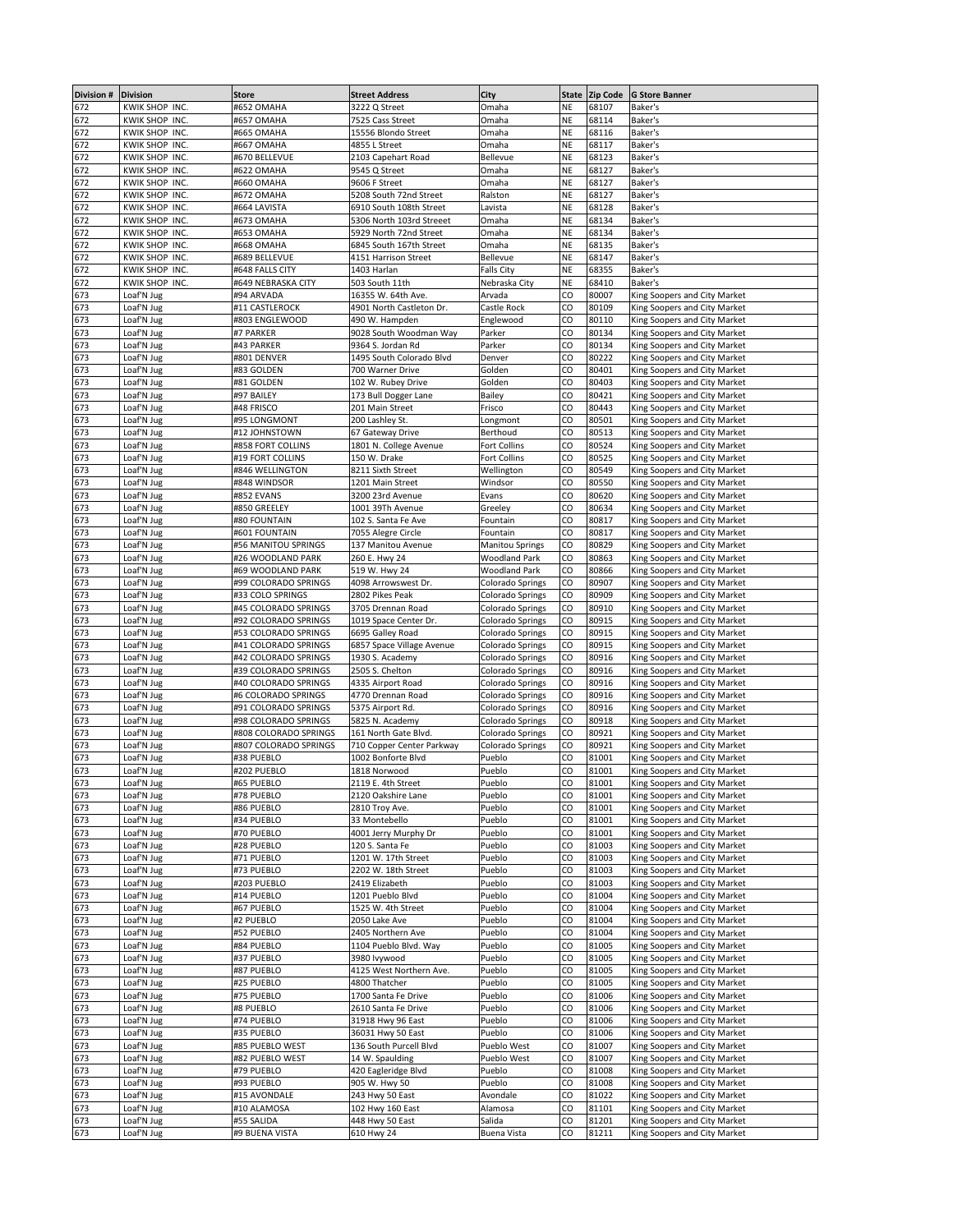| Division # | <b>Division</b> | <b>Store</b>          | <b>Street Address</b>     | City                    |           | State Zip Code | <b>G Store Banner</b>        |
|------------|-----------------|-----------------------|---------------------------|-------------------------|-----------|----------------|------------------------------|
| 672        | KWIK SHOP INC.  | #652 OMAHA            | 3222 Q Street             | Omaha                   | NE        | 68107          | Baker's                      |
| 672        | KWIK SHOP INC.  | #657 OMAHA            | 7525 Cass Street          | Omaha                   | NE        | 68114          | Baker's                      |
| 672        | KWIK SHOP INC.  | #665 OMAHA            | 15556 Blondo Street       | Omaha                   | <b>NE</b> | 68116          | Baker's                      |
| 672        | KWIK SHOP INC.  | #667 OMAHA            | 4855 L Street             | Omaha                   | <b>NE</b> | 68117          | Baker's                      |
|            |                 |                       |                           |                         |           |                |                              |
| 672        | KWIK SHOP INC.  | #670 BELLEVUE         | 2103 Capehart Road        | <b>Bellevue</b>         | NE        | 68123          | Baker's                      |
| 672        | KWIK SHOP INC.  | #622 OMAHA            | 9545 Q Street             | Omaha                   | <b>NE</b> | 68127          | Baker's                      |
| 672        | KWIK SHOP INC.  | #660 OMAHA            | 9606 F Street             | Omaha                   | NE        | 68127          | Baker's                      |
| 672        | KWIK SHOP INC.  | #672 OMAHA            | 5208 South 72nd Street    | Ralston                 | <b>NE</b> | 68127          | Baker's                      |
| 672        | KWIK SHOP INC.  | #664 LAVISTA          | 6910 South 108th Street   | Lavista                 | <b>NE</b> | 68128          | Baker's                      |
| 672        | KWIK SHOP INC.  | #673 OMAHA            | 5306 North 103rd Streeet  | Omaha                   | <b>NE</b> | 68134          | Baker's                      |
|            |                 |                       |                           |                         |           |                |                              |
| 672        | KWIK SHOP INC.  | #653 OMAHA            | 5929 North 72nd Street    | Omaha                   | <b>NE</b> | 68134          | Baker's                      |
| 672        | KWIK SHOP INC.  | #668 OMAHA            | 6845 South 167th Street   | Omaha                   | NE        | 68135          | Baker's                      |
| 672        | KWIK SHOP INC.  | #689 BELLEVUE         | 4151 Harrison Street      | <b>Bellevue</b>         | <b>NE</b> | 68147          | Baker's                      |
| 672        | KWIK SHOP INC.  | #648 FALLS CITY       | 1403 Harlan               | <b>Falls City</b>       | <b>NE</b> | 68355          | Baker's                      |
| 672        | KWIK SHOP INC.  | #649 NEBRASKA CITY    | 503 South 11th            | Nebraska City           | NE        | 68410          | Baker's                      |
| 673        | Loaf'N Jug      | #94 ARVADA            | 16355 W. 64th Ave.        | Arvada                  | CO        | 80007          | King Soopers and City Market |
|            |                 |                       |                           |                         |           |                |                              |
| 673        | Loaf'N Jug      | #11 CASTLEROCK        | 4901 North Castleton Dr.  | Castle Rock             | CO        | 80109          | King Soopers and City Market |
| 673        | Loaf'N Jug      | #803 ENGLEWOOD        | 490 W. Hampden            | Englewood               | CO        | 80110          | King Soopers and City Market |
| 673        | Loaf'N Jug      | #7 PARKER             | 9028 South Woodman Way    | Parker                  | CO        | 80134          | King Soopers and City Market |
| 673        | Loaf'N Jug      | #43 PARKER            | 9364 S. Jordan Rd         | Parker                  | CO        | 80134          | King Soopers and City Market |
| 673        | Loaf'N Jug      | #801 DENVER           | 1495 South Colorado Blvd  | Denver                  | CO        | 80222          | King Soopers and City Market |
|            | Loaf'N Jug      | #83 GOLDEN            | 700 Warner Drive          | Golden                  | CO        | 80401          | King Soopers and City Market |
| 673        |                 |                       |                           |                         |           |                |                              |
| 673        | Loaf'N Jug      | #81 GOLDEN            | 102 W. Rubey Drive        | Golden                  | CO        | 80403          | King Soopers and City Market |
| 673        | Loaf'N Jug      | #97 BAILEY            | 173 Bull Dogger Lane      | <b>Bailey</b>           | CO        | 80421          | King Soopers and City Market |
| 673        | Loaf'N Jug      | #48 FRISCO            | 201 Main Street           | Frisco                  | CO        | 80443          | King Soopers and City Market |
| 673        | Loaf'N Jug      | #95 LONGMONT          | 200 Lashley St.           | Longmont                | CO        | 80501          | King Soopers and City Market |
| 673        | Loaf'N Jug      | #12 JOHNSTOWN         | 67 Gateway Drive          | Berthoud                | CO        | 80513          | King Soopers and City Market |
|            |                 |                       |                           |                         |           |                |                              |
| 673        | Loaf'N Jug      | #858 FORT COLLINS     | 1801 N. College Avenue    | Fort Collins            | CO        | 80524          | King Soopers and City Market |
| 673        | Loaf'N Jug      | #19 FORT COLLINS      | 150 W. Drake              | Fort Collins            | CO        | 80525          | King Soopers and City Market |
| 673        | Loaf'N Jug      | #846 WELLINGTON       | 8211 Sixth Street         | Wellington              | CO        | 80549          | King Soopers and City Market |
| 673        | Loaf'N Jug      | #848 WINDSOR          | 1201 Main Street          | Windsor                 | CO        | 80550          | King Soopers and City Market |
| 673        | Loaf'N Jug      | #852 EVANS            | 3200 23rd Avenue          | Evans                   | CO        | 80620          | King Soopers and City Market |
| 673        | Loaf'N Jug      | #850 GREELEY          | 1001 39Th Avenue          | Greeley                 | CO        | 80634          | King Soopers and City Market |
|            |                 |                       |                           |                         |           |                |                              |
| 673        | Loaf'N Jug      | #80 FOUNTAIN          | 102 S. Santa Fe Ave       | Fountain                | CO        | 80817          | King Soopers and City Market |
| 673        | Loaf'N Jug      | #601 FOUNTAIN         | 7055 Alegre Circle        | Fountain                | CO        | 80817          | King Soopers and City Market |
| 673        | Loaf'N Jug      | #56 MANITOU SPRINGS   | 137 Manitou Avenue        | <b>Manitou Springs</b>  | CO        | 80829          | King Soopers and City Market |
| 673        | Loaf'N Jug      | #26 WOODLAND PARK     | 260 E. Hwy 24             | <b>Woodland Park</b>    | CO        | 80863          | King Soopers and City Market |
| 673        | Loaf'N Jug      | #69 WOODLAND PARK     | 519 W. Hwy 24             | <b>Woodland Park</b>    | CO        | 80866          | King Soopers and City Market |
|            |                 |                       |                           |                         | CO        | 80907          |                              |
| 673        | Loaf'N Jug      | #99 COLORADO SPRINGS  | 4098 Arrowswest Dr.       | Colorado Springs        |           |                | King Soopers and City Market |
| 673        | Loaf'N Jug      | #33 COLO SPRINGS      | 2802 Pikes Peak           | Colorado Springs        | CO        | 80909          | King Soopers and City Market |
| 673        | Loaf'N Jug      | #45 COLORADO SPRINGS  | 3705 Drennan Road         | Colorado Springs        | CO        | 80910          | King Soopers and City Market |
| 673        | Loaf'N Jug      | #92 COLORADO SPRINGS  | 1019 Space Center Dr.     | Colorado Springs        | CO        | 80915          | King Soopers and City Market |
| 673        | Loaf'N Jug      | #53 COLORADO SPRINGS  | 6695 Galley Road          | Colorado Springs        | CO        | 80915          | King Soopers and City Market |
| 673        | Loaf'N Jug      | #41 COLORADO SPRINGS  | 6857 Space Village Avenue | Colorado Springs        | CO        | 80915          | King Soopers and City Market |
|            |                 |                       |                           |                         |           |                |                              |
| 673        | Loaf'N Jug      | #42 COLORADO SPRINGS  | 1930 S. Academy           | Colorado Springs        | CO        | 80916          | King Soopers and City Market |
| 673        | Loaf'N Jug      | #39 COLORADO SPRINGS  | 2505 S. Chelton           | Colorado Springs        | CO        | 80916          | King Soopers and City Market |
| 673        | Loaf'N Jug      | #40 COLORADO SPRINGS  | 4335 Airport Road         | Colorado Springs        | CO        | 80916          | King Soopers and City Market |
| 673        | Loaf'N Jug      | #6 COLORADO SPRINGS   | 4770 Drennan Road         | Colorado Springs        | CO        | 80916          | King Soopers and City Market |
| 673        | Loaf'N Jug      | #91 COLORADO SPRINGS  | 5375 Airport Rd.          | Colorado Springs        | CO        | 80916          | King Soopers and City Market |
| 673        | Loaf'N Jug      | #98 COLORADO SPRINGS  | 5825 N. Academy           |                         | CO        | 80918          | King Soopers and City Market |
|            |                 |                       |                           | Colorado Springs        |           |                |                              |
| 673        | Loaf'N Jug      | #808 COLORADO SPRINGS | 161 North Gate Blvd.      | <b>Colorado Springs</b> | CO        | 80921          | King Soopers and City Market |
| 673        | Loaf'N Jug      | #807 COLORADO SPRINGS | 710 Copper Center Parkway | Colorado Springs        | CO        | 80921          | King Soopers and City Market |
| 673        | Loaf'N Jug      | #38 PUEBLO            | 1002 Bonforte Blvd        | Pueblo                  | CO        | 81001          | King Soopers and City Market |
| 673        | Loaf'N Jug      | #202 PUEBLO           | 1818 Norwood              | Pueblo                  | CO        | 81001          | King Soopers and City Market |
|            | Loat'N Jug      | #65 PUEBLO            | 2119 E. 4th Street        | Pueblo                  | CO        | 81001          | King Soopers and City Market |
| 673<br>673 | Loaf'N Jug      | #78 PUEBLO            | 2120 Oakshire Lane        | Pueblo                  | CO        | 81001          | King Soopers and City Market |
|            |                 |                       |                           |                         |           |                |                              |
| 673        | Loaf'N Jug      | #86 PUEBLO            | 2810 Troy Ave.            | Pueblo                  | CO        | 81001          | King Soopers and City Market |
| 673        | Loaf'N Jug      | #34 PUEBLO            | 33 Montebello             | Pueblo                  | CO        | 81001          | King Soopers and City Market |
| 673        | Loaf'N Jug      | #70 PUEBLO            | 4001 Jerry Murphy Dr      | Pueblo                  | CO        | 81001          | King Soopers and City Market |
| 673        | Loaf'N Jug      | #28 PUEBLO            | 120 S. Santa Fe           | Pueblo                  | CO        | 81003          | King Soopers and City Market |
| 673        | Loaf'N Jug      | #71 PUEBLO            | 1201 W. 17th Street       | Pueblo                  | CO        | 81003          | King Soopers and City Market |
| 673        | Loaf'N Jug      | #73 PUEBLO            | 2202 W. 18th Street       | Pueblo                  | CO        | 81003          | King Soopers and City Market |
| 673        | Loaf'N Jug      | #203 PUEBLO           | 2419 Elizabeth            | Pueblo                  | CO        | 81003          | King Soopers and City Market |
|            |                 |                       |                           |                         |           |                |                              |
| 673        | Loaf'N Jug      | #14 PUEBLO            | 1201 Pueblo Blvd          | Pueblo                  | CO        | 81004          | King Soopers and City Market |
| 673        | Loaf'N Jug      | #67 PUEBLO            | 1525 W. 4th Street        | Pueblo                  | CO        | 81004          | King Soopers and City Market |
| 673        | Loaf'N Jug      | #2 PUEBLO             | 2050 Lake Ave             | Pueblo                  | CO        | 81004          | King Soopers and City Market |
| 673        | Loaf'N Jug      | #52 PUEBLO            | 2405 Northern Ave         | Pueblo                  | CO        | 81004          | King Soopers and City Market |
| 673        | Loaf'N Jug      | #84 PUEBLO            | 1104 Pueblo Blvd. Way     | Pueblo                  | CO        | 81005          | King Soopers and City Market |
|            |                 |                       |                           |                         |           |                |                              |
| 673        | Loaf'N Jug      | #37 PUEBLO            | 3980 lvywood              | Pueblo                  | CO        | 81005          | King Soopers and City Market |
| 673        | Loaf'N Jug      | #87 PUEBLO            | 4125 West Northern Ave.   | Pueblo                  | CO        | 81005          | King Soopers and City Market |
| 673        | Loaf'N Jug      | #25 PUEBLO            | 4800 Thatcher             | Pueblo                  | CO        | 81005          | King Soopers and City Market |
| 673        | Loaf'N Jug      | #75 PUEBLO            | 1700 Santa Fe Drive       | Pueblo                  | CO        | 81006          | King Soopers and City Market |
| 673        | Loaf'N Jug      | #8 PUEBLO             | 2610 Santa Fe Drive       | Pueblo                  | CO        | 81006          | King Soopers and City Market |
| 673        | Loaf'N Jug      | #74 PUEBLO            |                           |                         | CO        | 81006          |                              |
|            |                 |                       | 31918 Hwy 96 East         | Pueblo                  |           |                | King Soopers and City Market |
| 673        | Loaf'N Jug      | #35 PUEBLO            | 36031 Hwy 50 East         | Pueblo                  | CO        | 81006          | King Soopers and City Market |
| 673        | Loaf'N Jug      | #85 PUEBLO WEST       | 136 South Purcell Blvd    | Pueblo West             | CO        | 81007          | King Soopers and City Market |
| 673        | Loaf'N Jug      | #82 PUEBLO WEST       | 14 W. Spaulding           | Pueblo West             | CO        | 81007          | King Soopers and City Market |
| 673        | Loaf'N Jug      | #79 PUEBLO            | 420 Eagleridge Blvd       | Pueblo                  | CO        | 81008          | King Soopers and City Market |
| 673        | Loaf'N Jug      | #93 PUEBLO            | 905 W. Hwy 50             | Pueblo                  | CO        | 81008          | King Soopers and City Market |
|            |                 |                       |                           |                         |           |                |                              |
| 673        | Loaf'N Jug      | #15 AVONDALE          | 243 Hwy 50 East           | Avondale                | CO        | 81022          | King Soopers and City Market |
| 673        | Loaf'N Jug      | #10 ALAMOSA           | 102 Hwy 160 East          | Alamosa                 | CO        | 81101          | King Soopers and City Market |
| 673        | Loaf'N Jug      | #55 SALIDA            | 448 Hwy 50 East           | Salida                  | CO        | 81201          | King Soopers and City Market |
| 673        | Loaf'N Jug      | #9 BUENA VISTA        | 610 Hwy 24                | <b>Buena Vista</b>      | CO        | 81211          | King Soopers and City Market |